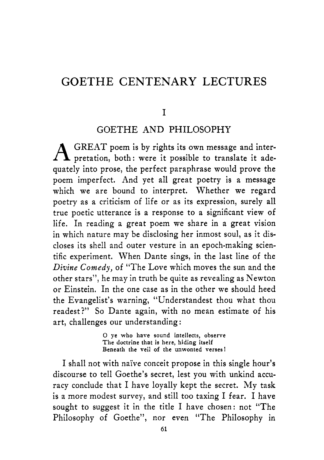#### **GOETHE CENTENARY LECTURES**

#### I

#### GOETHE AND PHILOSOPHY

 $A$  GREAT poem is by rights its own message and inter-<br>pretation, both: were it possible to translate it adequately into prose, the perfect paraphrase would prove the poem imperfect. And yet all great poetry is a message which we are bound to interpret. Whether we regard poetry as a criticism of life or as its expression, surely all true poetic utterance is a response to a significant view of life. In reading a great poem we share in a great vision in which nature may be disclosing her inmost soul, as it discloses its shell and outer vesture in an epoch-making scientific experiment. When Dante sings, in the last line of the *Divine Comedy,* of "The Love which moves the sun and the other stars", he may in truth be quite as revealing as Newton or Einstein. In the one case as in the other we should heed the Evangelist's warning, "Understandest thou what thou readest?" So Dante again, with no mean estimate of his art, challenges our understanding :

> *0* **ye who have sound intellects, observe The doctrine that is here, hiding itself Beneath the veil of the unwonted verses!**

I shall not with nai've conceit propose in this single hour's discourse to tell Goethe's secret, lest you with unkind accuracy conclude that I have loyally kept the secret. My task is a more modest survey, and still too taxing I fear. I have sought to suggest it in the title I have chosen: not "The Philosophy of Goethe", nor even "The Philosophy in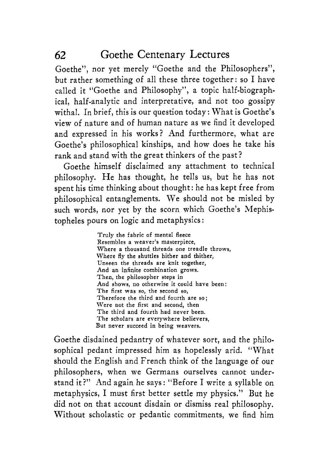Goethe", nor yet merely "Goethe and the Philosophers", but rather something of all these three together: so I have called it "Goethe and Philosophy", a topic half-biographical, half-analytic and interpretative, and not too gossipy withal. In brief, this is our question today: What is Goethe's view of nature and of human nature as we find it developed and expressed in his works? And furthermore, what are Goethe's philosophical kinships, and how does he take his rank and stand with the great thinkers of the past?

Goethe himself disclaimed any attachment to technical philosophy. He has thought, he tells us, but he has not spent his time thinking about thought: he has kept free from philosophical entanglements. We should not be misled by such words, nor yet by the scorn which Goethe's Mephistopheles pours on logic and metaphysics :

> Truly the fabric of mental fleece Resembles a weaver's masterpiece, Where a thousand threads one treadle throws, Where fly the shuttles hither and thither, Unseen the threads are knit together, And an infinite combination grows. Then, the philosopher steps in And shows, no otherwise it could have been: The first was so, the second **so,**  Therefore the third and fourth are so; Were not the first and second, then The third and fourth had never been. The scholars are everywhere believers, **But** never succeed in being weavers.

Goethe disdained pedantry of whatever sort, and the philosophical pedant impressed him as hopelessly arid. "What should the English and French think of the language of our philosophers, when we Germans ourselves cannot understand it?" And again he says : "Before I write a syllable on metaphysics, I must first better settle my physics." But he did not on that account disdain or dismiss real philosophy, Without scholastic or pedantic commitments, we find him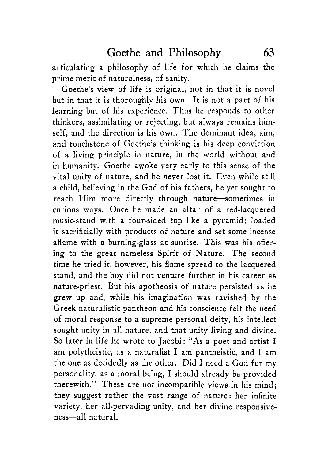articulating a philosophy of life for which he claims the prime merit of naturalness, of sanity.

Goethe's view of life is original, not in that it is novel but in that it is thoroughly his own. It is not a part of his learning but of his experience. Thus he responds to other thinkers, assimilating or rejecting, but always remains himself, and the direction is his own. The dominant idea, aim, and touchstone of Goethe's thinking is his deep conviction of a living principle in nature, in the world without and in humanity. Goethe awoke very early to this sense of the vital unity of nature, and he never lost it. Even while still a child, believing in the God of his fathers, he yet sought to reach Him more directly through nature-sometimes in curious ways. Once he made an altar of a red-lacquered music-stand with a four-sided top like a pyramid; loaded it sacrificially with products of nature and set some incense aflame with a burning-glass at sunrise. This was his offering to the great nameless Spirit of Nature. The second time he tried it, however, his flame spread to the lacquered stand, and the boy did not venture further in his career as nature-priest. But his apotheosis of nature persisted as he grew up and, while his imagination was ravished by the Greek naturalistic pantheon and his conscience felt the need of moral response to a supreme personal deity, his intellect sought unity in all nature, and that unity living and divine. So later in life he wrote to Jacobi: "As a poet and artist I am polytheistic, as a naturalist I am pantheistic, and I am the one as decidedly as the other. Did I need a God for my personality, as a moral being, I should already be provided therewith." These are not incompatible views in his mind; they suggest rather the vast range of nature: her infinite variety, her all-pervading unity, and her divine responsiveness-all natural.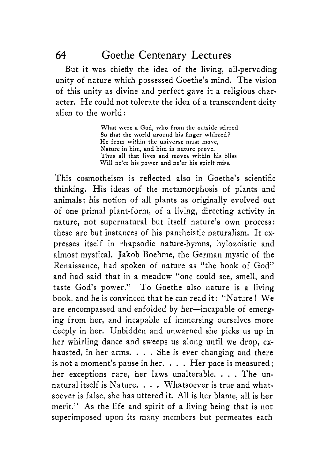But it was chiefly the idea of the living, all-pervading unity of nature which possessed Goethe's mind. The vision of this unity as divine and perfect gave it a religious character. He could not tolerate the idea of a transcendent deity alien to the world:

> What were **a** God, who from the outside stirred So that the world around his finger whirred? He from within the universe must move, Nature in him, and him in nature prove. Thus all that lives and moves within his bliss Will ne'er his power and ne'er his spirit miss.

This cosmotheism is reflected also in Goethe's scientific thinking. His ideas of the metamorphosis of plants and animals: his notion of all plants as originally evolved out of one primal plant-form, of a living, directing activity in nature, not supernatural but itself nature's own process : these are but instances of his pantheistic naturalism. It expresses itself in rhapsodic nature-hymns, hylozoistic and almost mystical. Jakob Boehme, the German mystic of the Renaissance, had spoken of nature as "the book of God" and had said that in a meadow "one could see, smell, and taste God's power." To Goethe also nature is a living book, and he is convinced that he can read it: "Nature 1 We are encompassed and enfolded by her-incapable of emerging from her, and incapable of immersing ourselves more deeply in her. Unbidden and unwarned she picks us up in her whirling dance and sweeps us along until we drop, exhausted, in her arms. . . . She is ever changing and there is not a moment's pause in her. . . . Her pace is measured; her exceptions rare, her laws unalterable. . . . The unnatural itself is Nature. . . . Whatsoever is true and whatsoever is false, she has uttered it. **All** is her blame, all is her merit." **As** the life and spirit of a living being that is not superimposed upon its many members but permeates each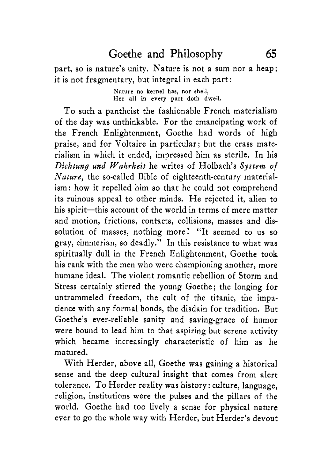#### Goethe and Philosophy *65*

part, so is nature's unity. Nature is not a sum nor a heap; it is not fragmentary, but integral in each part:

> **Nature no** kernel **has, nor shell,**  Her **all** in **every part** doth dwell.

To such a pantheist the fashionable French materialism of the day was unthinkable. For the emancipating work of the French Enlightenment, Goethe had words of high praise, and for Voltaire in particular; but the crass materialism in which it ended, impressed him as sterile. In his *Dichtung und Wahrheit* he writes of Holbach's *System* of *Nature,* the so-called Bible of eighteenth-century materialism: how it repelled him so that he could not comprehend its ruinous appeal to other minds. He rejected it, alien to his spirit-this account of the world in terms of mere matter and motion, frictions, contacts, collisions, masses and dissolution of masses, nothing more! "It seemed to us so gray, Cimmerian, so deadly." In this resistance to what was spiritually dull in the French Enlightenment, Goethe took his rank with the men who were championing another, more humane ideal. The violent romantic rebellion of Storm and Stress certainly stirred the young Goethe; the longing for untrammeled freedom, the cult of the titanic, the impatience with any formal bonds, the disdain for tradition. But Goethe's ever-reliable sanity and saving-grace of humor were bound to lead him to that aspiring but serene activity which became increasingly characteristic of him as he matured.

With Herder, above all, Goethe was gaining a historical sense and the deep cultural insight that comes from alert tolerance. To Herder reality was history : culture, language, religion, institutions were the pulses and the pillars of the world. Goethe had too lively a sense for physical nature ever to go the whole way with Herder, but Herder's devout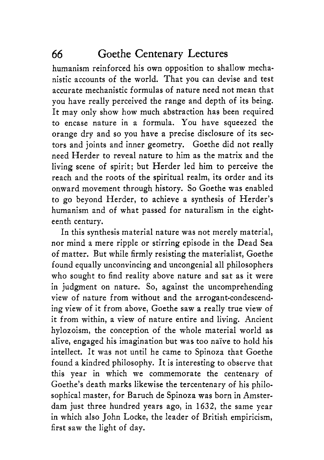humanism reinforced his own opposition to shallow mechanistic accounts of the world. That you can devise and test accurate mechanistic formulas of nature need not mean that you have really perceived the range and depth of its being. It may only show how much abstraction has been required to encase nature in a formula. You have squeezed the orange dry and so you have a precise disclosure of its sectors and joints and inner geometry. Goethe did not really need Herder to reveal nature to him as the matrix and the living scene of spirit; but Herder led him to perceive the reach and the roots of the spiritual realm, its order and its onward movement through history. So Goethe was enabled to go beyond Herder, to achieve a synthesis of Herder's humanism and of what passed for naturalism in the eighteenth century.

In this synthesis material nature was not merely material, nor mind a mere ripple or stirring episode in the Dead Sea of matter. But while firmly resisting the materialist, Goethe found equally unconvincing and uncongenial all philosophers who sought to find reality above nature and sat as it were in judgment on nature. So, against the uncomprehending view of nature from without and the arrogant-condescending view of it from above, Goethe saw a really true view of it from within, a view of nature entire and living. Ancient hylozoism, the conception of the whole material world as alive, engaged his imagination but was too nai've to hold his intellect. It was not until he came to Spinoza that Goethe found a kindred philosophy. It is interesting to observe that this year in which we commemorate the centenary of Goethe's death marks likewise the tercentenary of his philosophical master, for Baruch de Spinoza was born in Amsterdam just three hundred years ago, in 1632, the same year in which also John Locke, the leader of British empiricism, first saw the light of day.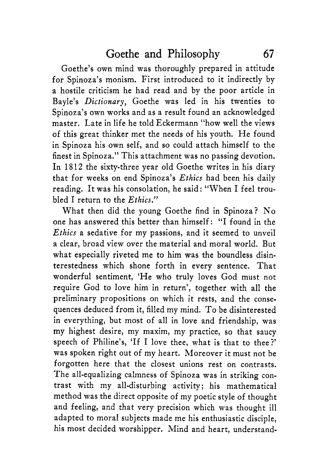Goethe's own mind was thoroughly prepared in attitude for Spinoza's monism. First introduced to it indirectly by a hostile criticism he had read and by the poor article in Bayle's *Dictionary,* Goethe was led in his twenties to Spinoza's own works and as a result found an acknowledged master. Late in life he told Eckermann "how well the views of this great thinker met the needs of his youth. He found in Spinoza his own self, and so could attach himself to the finest in Spinoza." This attachment was no passing devotion. In 1812 the sixty-three year old Goethe writes in his diary that for weeks on end Spinoza's *Ethics* had been his daily reading, It was his consolation, he said: "When I feel troubled I return to the *Ethics."* 

What then did the young Goethe find in Spinoza? No one has answered this better than himself: "I found in the *Ethics* a sedative for my passions, and it seemed to unveiI a clear, broad view over the material and moral world. But what especially riveted me to him was the boundless disinterestedness which shone forth in every sentence. That wonderful sentiment, 'He who truly loves God must not require God to love him in return', together with all the preliminary propositions on which it rests, and the consequences deduced from it, filled my mind. To be disinterested in everything, but most of all in love and friendship, was my highest desire, my maxim, my practice, so that saucy speech of Philine's, 'If I love thee, what is that to thee?' was spoken right out of my heart. Moreover it must not be forgotten here that the closest unions rest on contrasts. The all-equalizing calmness of Spinoza was in striking contrast with my all-disturbing activity; his mathematical method was the direct opposite of my poetic style of thought and feeling, and that very precision which was thought ill adapted to moral subjects made me his enthusiastic disciple, his most decided worshipper. Mind and heart, understand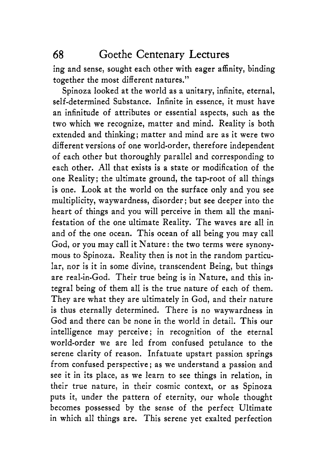ing and sense, sought each other with eager affinity, binding together the most different natures."

Spinoza looked at the world as a unitary, infinite, eternal, self-determined Substance. Infinite in essence, it must have an infinitude of attributes or essential aspects, such as the two which we recognize, matter and mind. Reality is both extended and thinking; matter and mind are as it were two different versions of one world-order, therefore independent of each other but thoroughly parallel and corresponding to each other. All that exists is a state or modification of the one Reality; the ultimate ground, the tap-root of all things is one. Look at the world on the surface only and you see multiplicity, waywardness, disorder ; but see deeper into the heart of things and you will perceive in them all the manifestation of the one ultimate Reality. The waves are all in and of the one ocean. This ocean of all being you may call God, or you may call it Nature : the two terms were synonymous to Spinoza. Reality then is not in the random particular, nor is it in some divine, transcendent Being, but things are real-in-God. Their true being is in Nature, and this integral being of them all is the true nature of each of them. They are what they are ultimately in God, and their nature is thus eternally determined. There is no waywardness in God and there can be none in the world in detail. This our intelligence may perceive; in recognition of the eternal world-order we are led from confused petulance to the serene clarity of reason. Infatuate upstart passion springs from confused perspective ; as we understand a passion and see it in its place, as we learn to see things in relation, in their true nature, in their cosmic context, or as Spinoza puts it, under the pattern of eternity, our whole thought becomes possessed by the sense of the perfect Ultimate in which all things are. This serene yet exalted perfection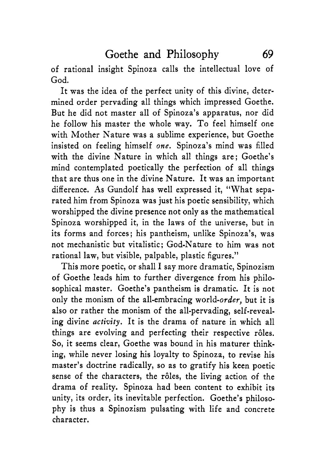of rational insight Spinoza calls the intellectual love of God.

It was the idea of the perfect unity of this divine, determined order pervading all things which impressed Goethe. But he did not master all of Spinoza's apparatus, nor did he follow his master the whole way. To feel himself one with Mother Nature was a sublime experience, but Goethe insisted on feeling himself *one.* Spinoza's mind was filled with the divine Nature in which all things are; Goethe's mind contemplated poetically the perfection of all things that are thus one in the divine Nature. It was an important difference. **As** Gundolf has well expressed it, "What separated him from Spinoza was just his poetic sensibility, which worshipped the divine presence not only as the mathematical Spinoza worshipped it, in the laws of the universe, but in its forms and forces; his pantheism, unlike Spinoza's, was not mechanistic but vitalistic; God-Nature to him was not rational law, but visible, palpable, plastic figures."

This more poetic, or shall I say more dramatic, Spinozism of Goethe leads him to further divergence from his philosophical master. Goethe's pantheism is dramatic. It is not only the monism of the all-embracing world-order, but it is also or rather the monism of the all-pervading, self-revealing divine *activity.* It is the drama of nature in which all things are evolving and perfecting their respective rôles. So, it seems clear, Goethe was bound in his maturer thinking, while never losing his loyalty to Spinoza, to revise his master's doctrine radically, so as to gratify his keen poetic sense of the characters, the rôles, the living action of the drama of reality. Spinoza had been content to exhibit its unity, its order, its inevitable perfection. Goethe's philosophy is thus a Spinozism pulsating with life and concrete character.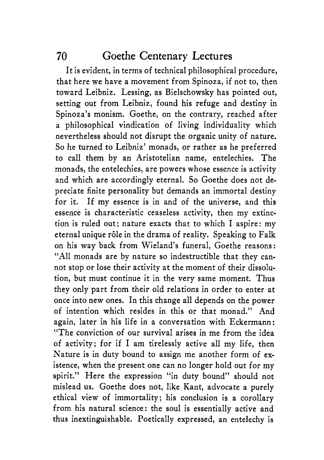It is evident, in terms of technical philosophical procedure, that here we have a movement from Spinoza, if not to, then toward Leibniz. Lessing, as Bielschowsky has pointed out, setting out from Leibniz, found his refuge and destiny in Spinoza's monism. Goethe, on the contrary, reached after a philosophical vindication of living individuality which nevertheless should not disrupt the organic unity of nature. So he turned to Leibniz' monads, or rather as he preferred to call them by an Aristotelian name, entelechies. The monads, the entelechies, are powers whose essence is activity and which are accordingly eternal. So Goethe does not depreciate finite personality but demands an immortal destiny for it. If my essence is in and of the universe, and this essence is characteristic ceaseless activity, then my extinction is ruled out; nature exacts that to which I aspire: my eternal unique r6le in the drama of reality. Speaking to Falk on his way back from Wieland's funeral, Goethe reasons: "All monads are by nature so indestructible that they cannot stop or lose their activity at the moment of their dissolution, but must continue it in the very same moment. Thus they only part from their old relations in order to enter at once into new ones. In this change all depends on the power of intention which resides in this or that monad." **And**  again, later in his life in a conversation with Eckermann: "The conviction of our survival arises in me from the idea of activity; for if I am tirelessly active all my life, then Nature is in duty bound to assign me another form of existence, when the present one can no longer hold out for my spirit." Here the expression "in duty bound" should not mislead us. Goethe does not, like Kant, advocate a purely ethical view of immortality; his conclusion is a corollary from his natural science: the soul is essentially active and thus inextinguishable. Poetically expressed, an entelechy is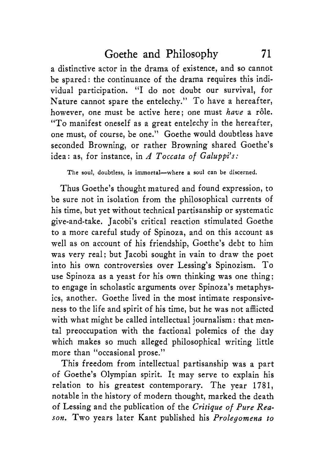a distinctive actor in the drama of existence, and so cannot be spared: the continuance of the drama requires this individual participation. "I do not doubt our survival, for Nature cannot spare the entelechy." To have a hereafter, however, one must be active here; one must *have* a rôle. "To manifest oneself as a great entelechy in the hereafter, one must, of course, be one." Goethe would doubtless have seconded Browning, or rather Browning shared Goethe's idea: as, for instance, in *A Toccata of Galuppi's:* 

**The soul, doubtless, is immortal-where a soul can be discerned.** 

Thus Goethe's thought matured and found expression, to be sure not in isolation from the philosophical currents of his time, but yet without technical partisanship or systematic give-and-take. Jacobi's critical reaction stimulated Goethe to a more careful study of Spinoza, and on this account as well as on account of his friendship, Goethe's debt to him was very real; but Jacobi sought in vain to draw the poet into his own controversies over Lessing's Spinozism. To use Spinoza as a yeast for his own thinking was one thing; to engage in scholastic arguments over Spinoza's metaphysics, another. Goethe lived in the most intimate responsiveness to the life and spirit of his time, but he was not afflicted with what might be called intellectual journalism : that mental preoccupation with the factional polemics of the day which makes so much alleged philosophical writing little more than "occasional prose."

This freedom from intellectual partisanship was a part of Goethe's Olympian spirit. It may serve to explain his relation to his greatest contemporary. The year 1781, notable in the history of modern thought, marked the death of Lessing and the publication of the *Critique of Pure Reason.* Two years later Kant published his *Prolegomena to*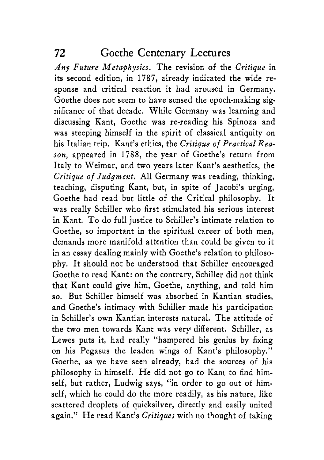*Any Future Metaphysics.* The revision of the *Critique* in its second edition, in 1787, already indicated the wide response and critical reaction it had aroused in Germany. Goethe does not seem to have sensed the epoch-making significance of that decade. While Germany was learning and discussing Kant, Goethe was re-reading his Spinoza and was steeping himself in the spirit of classical antiquity on his Italian trip. Kant's ethics, the *Critique of Practical Reason,* appeared in 1788, the year of Goethe's return from Italy to Weimar, and two years later Kant's aesthetics, the *Critique of Judgment.* All Germany was reading, thinking, teaching, disputing Kant, but, in spite of Jacobi's urging, Goethe had read but little of the Critical philosophy. It was really Schiller who first stimulated his serious interest in Kant. To do full justice to Schiller's intimate relation to Goethe, so important in the spiritual career of both men, demands more manifold attention than could be given to it in an essay dealing mainly with Goethe's relation to philosophy. It should not be understood that Schiller encouraged Goethe to read Kant: on the contrary, Schiller did not think that Kant could give him, Goethe, anything, and told him so. But Schiller himself was absorbed in Kantian studies, and Goethe's intimacy with Schiller made his participation in Schiller's own Kantian interests natural. The attitude of the *two* men towards Kant was very different. Schiller, as Lewes puts it, had really "hampered his genius by fixing on his Pegasus the leaden wings of Kant's philosophy." Goethe, as we have seen already, had the sources of his philosophy in himself. He did not go to Kant to find himself, but rather, Ludwig says, "in order to go out of himself, which he could do the more readily, as his nature, like scattered droplets of quicksilver, directly and easily united again." He read Kant's *Critiques* with no thought of taking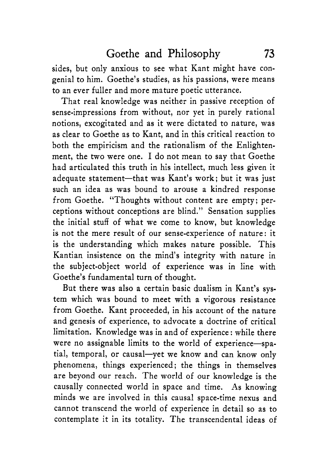sides, but only anxious to see what Kant might have congenial to him. Goethe's studies, as his passions, were means to an ever fuller and more mature poetic utterance.

That real knowledge was neither in passive reception of sense-impressions from without, nor yet in purely rational notions, excogitated and as it were dictated to nature, was as clear to Goethe as to Kant, and in this critical reaction to both the empiricism and the rationalism of the Enlightenment, the two were one. I do not mean to say that Goethe had articulated this truth in his intellect, much less given it adequate statement-that was Kant's work; but it was just such an idea as was bound to arouse a kindred response from Goethe. "Thoughts without content are empty; perceptions without conceptions are blind." Sensation supplies the initial stuff of what we come to know, but knowledge is not the mere result of our sense-experience of nature: it is the understanding which makes nature possible. This Kantian insistence on the mind's integrity with nature in the subject-object world of experience was in line with Goethe's fundamental turn **of** thought.

But there was also a certain basic dualism in Kant's system which was bound to meet with a vigorous resistance from Goethe. Kant proceeded, in his account of the nature and genesis of experience, to advocate a doctrine of critical limitation. Knowledge was in and of experience : while there were no assignable limits to the world of experience-spatial, temporal, or causal-yet we know and can know only phenomena, things experienced; the things in themselves are beyond our reach. 'The world of our knowledge is the causally connected world in space and time. **As** knowing minds we are involved in this causal space-time nexus and cannot transcend the world of experience in detail so as to contemplate it in its totality. The transcendental ideas of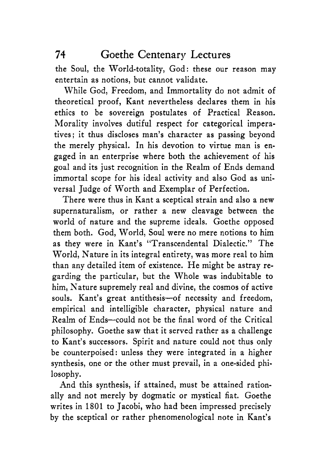the Soul, the World-totality, God: these our reason may entertain as notions, but cannot validate.

While God, Freedom, and Immortality do not admit of theoretical proof, Kant nevertheless declares them in his ethics to be sovereign postulates of Practical Reason. Morality involves dutiful respect for categorical imperatives; it thus discloses man's character as passing beyond the merely physical. In his devotion to virtue man is engaged in an enterprise where both the achievement of his goal and its just recognition in the Realm of Ends demand immortal scope for his ideal activity and also God as universal Judge of Worth and Exemplar of Perfection.

There were thus in Kant a sceptical strain and also a new supernaturalism, or rather a new cleavage between the world of nature and the supreme ideals. Goethe opposed them both. God, World, Soul were no mere notions to him as they were in Kant's "Transcendental Dialectic." The World, Nature in its integral entirety, was more real to him than any detailed item of existence. He might be astray regarding the particular, but the Whole was indubitable to him, Nature supremely real and divine, the cosmos of active souls. Kant's great antithesis-of necessity and freedom, empirical and intelligible character, physical nature and Realm of Ends-could not be the final word of the Critical philosophy. Goethe saw that it served rather as a challenge to Kant's successors. Spirit and nature could not thus only be counterpoised: unless they were integrated in a higher synthesis, one or the other must prevail, in a one-sided philosophy.

And this synthesis, if attained, must be attained rationally and not merely by dogmatic or mystical fiat. Goethe writes in 1801 to Jacobi, who had been impressed precisely by the sceptical or rather phenomenological note in Kant's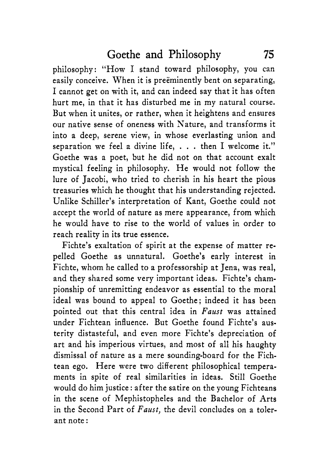philosophy: "How I stand toward philosophy, you can easily conceive. When it is preeminently bent on separating, I cannot get on with it, and can indeed say that it has often hurt me, in that it has disturbed me in my natural course. But when it unites, or rather, when it heightens and ensures our native sense of oneness with Nature, and transforms it into a deep, serene view, in whose everlasting union and separation we feel a divine life, . . . then I welcome it." Goethe was a poet, but he did not on that account exalt mystical feeling in philosophy. He would not follow the lure of Jacobi, who tried to cherish in his heart the pious treasuries which he thought that his understanding rejected. Unlike Schiller's interpretation of Kant, Goethe could not accept the world of nature as mere appearance, from which he would have to rise to the world of values in order to reach reality in its true essence.

Fichte's exaltation of spirit at the expense of matter repelled Goethe as unnatural. Goethe's early interest in Fichte, whom he called to a professorship at Jena, was real, and they shared some very important ideas. Fichte's championship of unremitting endeavor as essential to the moral ideal was bound to appeal to Goethe; indeed it has been pointed out that this central idea in *Faust* was attained under Fichtean influence. But Goethe found Fichte's austerity distasteful, and even more Fichte's depreciation of art and his imperious virtues, and most of all his haughty dismissal of nature as a mere sounding-board for the Fichtean ego. Here were two different philosophical temperaments in spite of real similarities in ideas. Still Goethe would do him justice : after the satire on the young Fichteans in the scene of Mephistopheles and the Bachelor of Arts in the Second Part of *Faust,* the devil concludes on a tolerant note :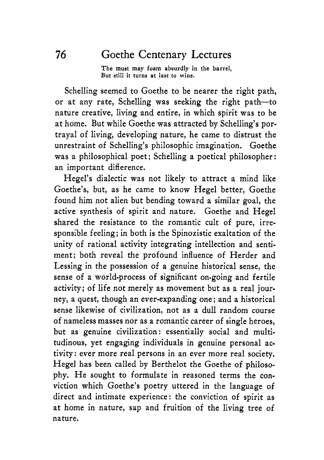**The must may foam absurdly in the barrel, But still it turns at last to wine.** 

Schelling seemed to Goethe to be nearer the right path, or at any rate, Schelling was seeking the right path-to nature creative, living and entire, in which spirit was to be at home. But while Goethe was attracted by Schelling's portrayal of living, developing nature, he came to distrust the unrestraint of Schelling's philosophic imagination. Goethe was a philosophical poet; Schelling a poetical philosopher: an important difference.

Hegel's dialectic was not likely to attract a mind like Goethe's, but, as he came to know Hegel better, Goethe found him not alien but bending toward a similar goal, the active synthesis of spirit and nature. Goethe and Hegel shared the resistance to the romantic cult of pure, irresponsible feeling; in both is the Spinozistic exaltation of the unity of rational activity integrating intellection and sentiment; both reveal the profound influence of Herder and Lessing in the possession of a genuine historical sense, the sense of a world-process of significant on-going and fertile activity; of life not merely as movement but as a real journey, a quest, though an ever-expanding one ; and a historical sense likewise of civilization, not as a dull random course of nameless masses nor as a romantic career of single heroes, but as genuine civilization: essentially social and multitudinous, yet engaging individuals in genuine personal activity: ever more real persons in an ever more real society. Hegel has been called by Berthelot the Goethe of philosophy. He sought to formulate in reasoned terms the conviction which Goethe's poetry uttered in the language of direct and intimate experience : the conviction of spirit as at home in nature, sap and fruition of the living tree of nature.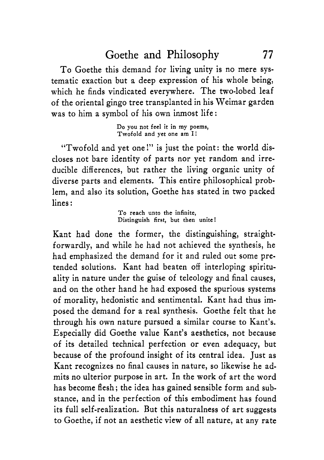To Goethe this demand for living unity is no mere systematic exaction but a deep expression of his whole being, which he finds vindicated everywhere. The two-lobed leaf of the oriental gingo tree transplanted in his Weimar garden was to him a symbol of his own inmost life:

> **Do you not feel it in my poems, Twofold and yet one am I!**

"Twofold and yet one!" is just the point: the world discloses not bare identity of parts nor yet random and irreducible differences, but rather the living organic unity of diverse parts and elements. This entire philosophical problem, and also its solution, Goethe has stated in two packed lines :

> **To reach unto the infinite, Distinguish first, but then unite** !

Kant had done the former, the distinguishing, straightforwardly, and while he had not achieved the synthesis, he had emphasized the demand for it and ruled out some pretended solutions. Kant had beaten off interloping spirituality in nature under the guise of teleology and final causes, and on the other hand he had exposed the spurious systems of morality, hedonistic and sentimental. Kant had thus imposed the demand for a real synthesis. Goethe felt that he through his own nature pursued a similar course to Kant's. Especially did Goethe value Kant's aesthetics, not because of its detailed technical perfection or even adequacy, but because of the profound insight of its central idea. Just as Kant recognizes no final causes in nature, so likewise he admits no ulterior purpose in art. In the work of art the word has become flesh; the idea has gained sensible form and substance, and in the perfection of this embodiment has found its full self-realization. But this naturalness of art suggests to Goethe, if not an aesthetic view of all nature, at any rate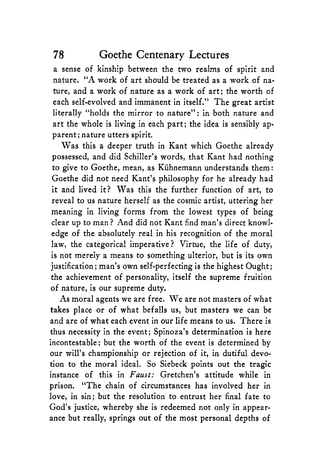a sense of kinship between the two realms of spirit and nature. "A work of art should be treated as a work of nature, and a work of nature as a work of art; the worth of each self-evolved and immanent in itself." The great artist literally "holds the mirror to nature": in both nature and art the whole is living in each part; the idea is sensibly apparent; nature utters spirit.

Was this a deeper truth in Kant which Goethe already possessed, and did Schiller's words, that Kant had nothing to give to Goethe, mean, as Kuhnemann understands them: Goethe did not need Kant's philosophy for he already had it and lived it? Was this the further function of art, to reveal to us nature herself as the cosmic artist, uttering her meaning in living forms from the lowest types of being clear up to man? And did not Kant find man's direct knowledge of the absolutely real in his recognition of the moral law, the categorical imperative? Virtue, the life of duty, is not merely a means to something ulterior, but is its own justification ; man's own self-perfecting is the highest Ought; the achievement of personality, itself the supreme fruition of nature, is our supreme duty.

**As** moral agents we are free. We are not masters of what takes place or of what befalls us, but masters we can be and are of what each event in our life means to us. There is thus necessity in the event; Spinoza's determination is here incontestable; but the worth of the event is determined by our will's championship or rejection of it, in dutiful devotion to the moral ideal. So Siebeck points out the tragic instance of this in *Faust:* Gretchen's attitude while in prison. "The chain of circumstances has involved her in love, in sin; but the resolution to entrust her final fate to God's justice, whereby she is redeemed not only in appearance but really, springs out of the most personal depths of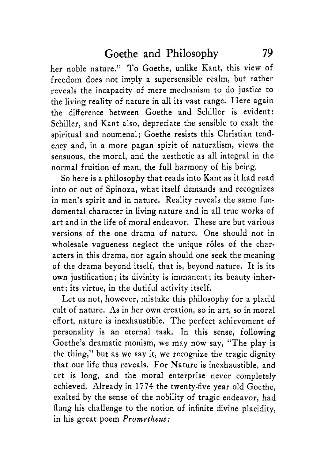her noble nature." To Goethe, unlike Kant, this view of freedom does not imply a supersensible realm, but rather reveals the incapacity of mere mechanism to do justice to the living reality of nature in all its vast range. Here again the difference between Goethe and Schiller is evident: Schiller, and Kant also, depreciate the sensible to exalt the spiritual and noumenal; Goethe resists this Christian tendency and, in a more pagan spirit of naturalism, views the sensuous, the moral, and the aesthetic as all integral in the normal fruition of man, the full harmony of his being.

So here is a philosophy that reads into Kant as it had read into or out of Spinoza, what itself demands and recognizes in man's spirit and in nature. Reality reveals the same fundamental character in living nature and in all true works of art and in the life of moral endeavor. These are but various versions of the one drama of nature. One should not in wholesale vagueness neglect the unique rôles of the characters in this drama, nor again should one seek the meaning of the drama beyond itself, that is, beyond nature. It is its own justification; its divinity is immanent; its beauty inherent; its virtue, in the dutiful activity itself.

Let us not, however, mistake this philosophy for a placid cult of nature. As in her own creation, so in art, so in moral effort, nature is inexhaustible. The perfect achievement of personality is an eternal task. In this sense, following Goethe's dramatic monism, we may now say, "The play is the thing," but as we say it, we recognize the tragic dignity that our life thus reveals. For Nature is inexhaustible, and art is long, and the moral enterprise never completely achieved. Already in 1774 the twenty-five year old Goethe, exalted by the sense of the nobility of tragic endeavor, had flung his challenge to the notion of infinite divine placidity, in his great poem *Prometheus:*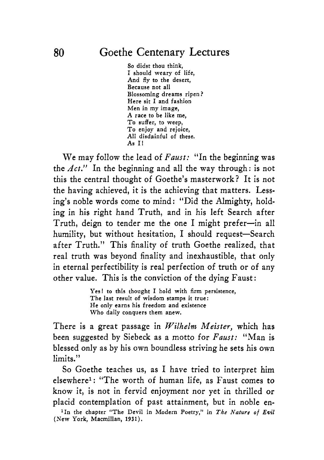So didst thou think, I should weary of life, And fly to the desert, Because not all Blossoming dreams ripen? Here sit I and fashion Men in my image, A race to be like me, To suffer, to weep, To enjoy and rejoice, A11 disdainful of these. **As** I!

We may follow the lead of *Faust:* "In the beginning was the *Act."* In the beginning and all the way through: is not this the central thought of Goethe's masterwork? It is not the having achieved, it is the achieving that matters. Lessing's noble words come to mind: "Did the Almighty, holding in his right hand Truth, and in his left Search after Truth, deign to tender me the one I might prefer-in all humility, but without hesitation, I should request-Search after Truth." This finality of truth Goethe realized, that real truth was beyond finality and inexhaustible, that only in eternal perfectibility is real perfection of truth or of any other value. This is the conviction of the dying Faust :

> Yes! to this thought I hold with firm persistence, The last result of wisdom stamps it true: He only earns his freedom and existence Who daily conquers them anew.

There is a great passage in *Wilhelm Meister*, which has been suggested by Siebeck as a motto for *Faust:* "Man is blessed only as by his own boundless striving he sets his own limits."

So Goethe teaches us, as I have tried to interpret him elsewherel: "The worth **of** human life, as Faust comes to know it, is not in fervid enjoyment nor yet in thrilled or placid contemplation of past attainment, but in noble en-

<sup>1</sup>In the chapter "The Devil in Modern Poetry," in The Nature of Evil (New York, Macmillan, **1931).**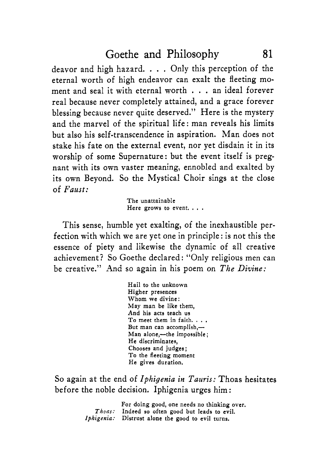deavor and high hazard. . . . Only this perception of the eternal worth of high endeavor can exalt the fleeting moment and seal it with eternal worth . . . an ideal forever real because never completely attained, and a grace forever blessing because never quite deserved." Here is the mystery and the marvel of the spiritual life: man reveals his limits but also his self-transcendence in aspiration. Man does not stake his fate on the external event, nor yet disdain it in its worship of some Supernature: but the event itself is pregnant with its own vaster meaning, ennobled and exalted by its own Beyond. So the Mystical Choir sings at the close of *Faust:* 

> The unattainable Here grows to event. . . .

This sense, humble yet exalting, of the inexhaustible perfection with which we are yet one in principle : is not this the essence of piety and likewise the dynamic of all creative achievement? So Goethe declared: "Only religious men can be creative." And so again in his poem on *The Divine:* 

> Hail to the unknown Higher presences Whom we divine: May man be like them, And his acts teach us To meet them in faith. . , . But man can accomplish, $-$ Man alone,-the impossible; He discriminates, Chooses and judges ; To the fleeting moment He gives duration.

So again at the end of *Iphigenia in Tauris:* Thoas hesitates before the noble decision. Iphigenia urges him :

|                | For doing good, one needs no thinking over.       |
|----------------|---------------------------------------------------|
| $\bm{Th}$ oas: | Indeed so often good but leads to evil.           |
|                | Iphigenia: Distrust alone the good to evil turns. |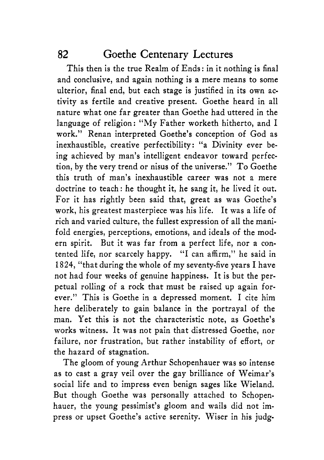This then is the true Realm of Ends : in it nothing is final and conclusive, and again nothing is a mere means to some ulterior, final end, but each stage is justified in its own activity as fertile and creative present. Goethe heard in all nature what one far greater than Goethe had uttered in the language of religion: "My Father worketh hitherto, and I work." Renan interpreted Goethe's conception of God as inexhaustible, creative perfectibility: "a Divinity ever being achieved by man's intelligent endeavor toward perfection, by the very trend or nisus of the universe." To Goethe this truth of man's inexhaustible career was not a mere doctrine to teach: he thought it, he sang it, he lived it out. For it has rightly been said that, great as was Goethe's work, his greatest masterpiece was his life. It was a life of rich and varied culture, the fullest expression of all the manifold energies, perceptions, emotions, and ideals of the modern spirit. But it was far from a perfect life, nor a contented life, nor scarcely happy. "I can affirm," he said in 1824, "that during the whole of my seventy-five years I have not had four weeks of genuine happiness. It is but the perpetual rolling of a rock that must be raised up again forever." This is Goethe in a depressed moment. I cite him here deliberately to gain balance in the portrayal of the man. Yet this is not the characteristic note, as Goethe's works witness. It was not pain that distressed Goethe, nor failure, nor frustration, but rather instability of effort, or the hazard of stagnation.

The gloom of young Arthur Schopenhauer was so intense as to cast a gray veil over the gay brilliance of Weimar's social life and to impress even benign sages like Wieland. But though Goethe was personally attached to Schopenhauer, the young pessimist's gloom and wails did not impress or upset Goethe's active serenity. Wiser in his judg-